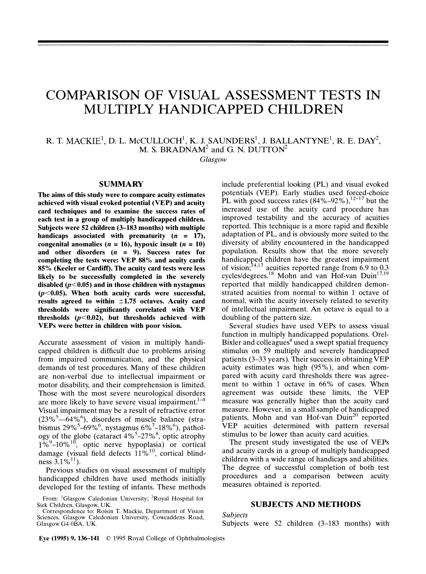# COMPARISON OF VISUAL ASSESSMENT TESTS IN MULTIPLY HANDICAPPED CHILDREN

R. T. MACKIE $^1$ , D. L. McCULLOCH $^1$ , K. J. SAUNDERS $^1$ , J. BALLANTYNE $^1$ , R. E. DAY $^2$ , M. S. BRADNAM<sup>2</sup> and G. N. DUTTON<sup>2</sup>

Glasgow

## SUMMARY

The aims of this study were to compare acuity estimates achieved with visual evoked potential (VEP) and acuity card techniques and to examine the success rates of each test in a group of multiply handicapped children. Subjects were 52 children (3-183 months) with multiple handicaps associated with prematurity  $(n = 17)$ , congenital anomalies ( $n = 16$ ), hypoxic insult ( $n = 10$ ) and other disorders  $(n = 9)$ . Success rates for completing the tests were: YEP 88% and acuity cards 85% (Keeler or Cardiff). The acuity card tests were less likely to be successfully completed in the severely disabled  $(p<0.05)$  and in those children with nystagmus  $(p<0.05)$ . When both acuity cards were successful, results agreed to within  $\pm 1.75$  octaves. Acuity card thresholds were significantly correlated with YEP thresholds  $(p<0.02)$ , but thresholds achieved with VEPs were better in children with poor vision.

Accurate assessment of vision in multiply handicapped children is difficult due to problems arising from impaired communication, and the physical demands of test procedures. Many of these children are non-verbal due to intellectual impairment or motor disability, and their comprehension is limited. Those with the most severe neurological disorders are more likely to have severe visual impairment. $1-4$ Visual impairment may be a result of refractive error  $(23\%^{5}-64\%)$ , disorders of muscle balance (strabismus  $29\%^{5}$ –69%<sup>6</sup>, nystagmus 6%<sup>7</sup>–18%<sup>6</sup>), pathology of the globe (cataract  $4\%$ <sup>5</sup>-27%<sup>8</sup>, optic atrophy  $1\%^{9}$ – $10\%^{10}$ , optic nerve hypoplasia) or cortical damage (visual field defects  $11\%^{10}$ , cortical blindness  $3.1\%^{11}$ ).

Previous studies on visual assessment of multiply handicapped children have used methods initially developed for the testing of infants. These methods

include preferential looking (PL) and visual evoked potentials (VEP). Early studies used forced-choice PL with good success rates  $(84\% - 92\%)$ ,  $^{12-17}$  but the increased use of the acuity card procedure has improved testability and the accuracy of acuities reported. This technique is a more rapid and flexible adaptation of PL, and is obviously more suited to the diversity of ability encountered in the handicapped population. Results show that the more severely handicapped children have the greatest impairment of vision;  $14,17$  acuities reported range from 6.9 to 0.3 cycles/degrees.<sup>18</sup> Mohn and van Hof-van Duin<sup>17,19</sup> reported that mildly handicapped children demonstrated acuities from normal to within 1 octave of normal, with the acuity inversely related to severity of intellectual impairment. An octave is equal to a doubling of the pattern size.

Several studies have used VEPs to assess visual function in multiply handicapped populations. Orel-Bixler and colleagues $4$  used a swept spatial frequency stimulus on 59 multiply and severely handicapped patients (3-33 years). Their success in obtaining YEP acuity estimates was high  $(95\%)$ , and when compared with acuity card thresholds there was agreement to within 1 octave in 66% of cases. When agreement was outside these limits, the YEP measure was generally higher than the acuity card measure. However, in a small sample of handicapped patients, Mohn and van Hof-van Duin<sup>20</sup> reported YEP acuities determined with pattern reversal stimulus to be lower than acuity card acuities.

The present study investigated the use of VEPs and acuity cards in a group of multiply handicapped children with a wide range of handicaps and abilities. The degree of successful completion of both test procedures and a comparison between acuity measures obtained is reported.

# SUBJECTS AND METHODS

#### Subjects

Subjects were 52 children (3-183 months) with

From: <sup>1</sup>Glasgow Caledonian University; <sup>2</sup>Royal Hospital for Sick Children, Glasgow, UK.

Correspondence to: Roisin T. Mackie, Department of Vision Sciences, Glasgow Caledonian University, Cowcaddens Road, Glasgow G4 OBA, UK.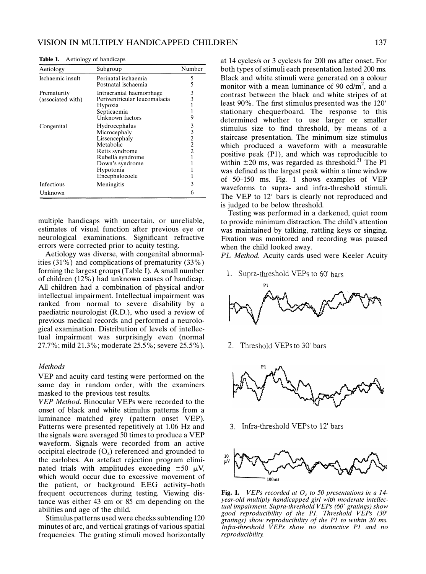| Aetiology                        | Subgroup                                                                                                                                            | Number                                        |
|----------------------------------|-----------------------------------------------------------------------------------------------------------------------------------------------------|-----------------------------------------------|
| Ischaemic insult                 | Perinatal ischaemia<br>Postnatal ischaemia                                                                                                          | 5<br>5                                        |
| Prematurity<br>(associated with) | Intracranial haemorrhage<br>Periventricular leucomalacia<br>Hypoxia<br>Septicaemia<br>Unknown factors                                               | 3<br>3<br>1<br>1<br>9                         |
| Congenital                       | Hydrocephalus<br>Microcephaly<br>Lissencephaly<br>Metabolic<br>Retts syndrome<br>Rubella syndrome<br>Down's syndrome<br>Hypotonia<br>Encephalocoele | 3<br>3<br>2<br>$\overline{2}$<br>$\mathbf{2}$ |
| Infectious<br>Unknown            | Meningitis                                                                                                                                          | 3<br>6                                        |

Table 1. Aetiology of handicaps

multiple handicaps with uncertain, or unreliable, estimates of visual function after previous eye or neurological examinations. Significant refractive errors were corrected prior to acuity testing.

Aetiology was diverse, with congenital abnormalities (31 %) and complications of prematurity (33%) forming the largest groups (Table I). A small number of children (12%) had unknown causes of handicap. All children had a combination of physical and/or intellectual impairment. Intellectual impairment was ranked from normal to severe disability by a paediatric neurologist (R.D.), who used a review of previous medical records and performed a neurological examination. Distribution of levels of intellectual impairment was surprisingly even (normal 27.7%; mild 21.3%; moderate 25.5%; severe 25.5%).

### Methods

YEP and acuity card testing were performed on the same day in random order, with the examiners masked to the previous test results.

YEP Method. Binocular VEPs were recorded to the onset of black and white stimulus patterns from a luminance matched grey (pattern onset YEP). Patterns were presented repetitively at 1.06 Hz and the signals were averaged 50 times to produce a YEP waveform. Signals were recorded from an active occipital electrode  $(O<sub>z</sub>)$  referenced and grounded to the earlobes. An artefact rejection program eliminated trials with amplitudes exceeding  $\pm 50 \mu V$ , which would occur due to excessive movement of the patient, or background EEG activity-both frequent occurrences during testing. Viewing distance was either 43 cm or 85 cm depending on the abilities and age of the child.

Stimulus patterns used were checks subtending 120 minutes of arc, and vertical gratings of various spatial frequencies. The grating stimuli moved horizontally

at 14 cycles/s or 3 cycles/s for 200 ms after onset. For both types of stimuli each presentation lasted 200 ms. Black and white stimuli were generated on a colour monitor with a mean luminance of 90 cd/ $m<sup>2</sup>$ , and a contrast between the black and white stripes of at least 90%. The first stimulus presented was the 120' stationary chequerboard. The response to this determined whether to use larger or smaller stimulus size to find threshold, by means of a staircase presentation. The minimum size stimulus which produced a waveform with a measurable positive peak (P1), and which was reproducible to within  $\pm 20$  ms, was regarded as threshold.<sup>21</sup> The P1 was defined as the largest peak within a time window of 50-150 ms. Fig. 1 shows examples of YEP waveforms to supra- and infra-threshold stimuli. The YEP to 12' bars is clearly not reproduced and is judged to be below threshold.

Testing was performed in a darkened, quiet room to provide minimum distraction. The child's attention was maintained by talking, rattling keys or singing. Fixation was monitored and recording was paused when the child looked away.

PL Method. Acuity cards used were Keeler Acuity

1. Supra-threshold VEPs to 60' bars



2. Threshold VEPs to 30' bars



3. Infra-threshold VEPs to 12' bars



**Fig. 1.** VEPs recorded at  $O<sub>z</sub>$  to 50 presentations in a 14year-old multiply handicapped girl with moderate intellectual impairment. Supra-threshold VEPs (60' gratings) show good reproducibility of the Pl. Threshold VEPs (30' gratings) show reproducibility of the P1 to within 20 ms. Infra-threshold VEPs show no distinctive PI and no reproducibility.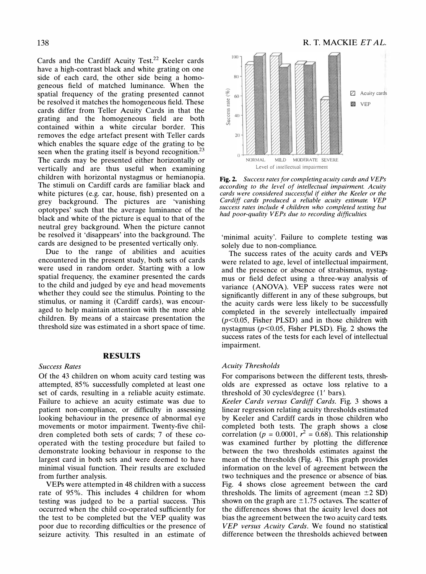Cards and the Cardiff Acuity Test.<sup>22</sup> Keeler cards have a high-contrast black and white grating on one side of each card, the other side being a homogeneous field of matched luminance. When the spatial frequency of the grating presented cannot be resolved it matches the homogeneous field. These cards differ from Teller Acuity Cards in that the grating and the homogeneous field are both contained within a white circular border. This removes the edge artefact present with Teller cards which enables the square edge of the grating to be seen when the grating itself is beyond recognition.<sup>23</sup> The cards may be presented either horizontally or vertically and are thus useful when examining children with horizontal nystagmus or hemianopia. The stimuli on Cardiff cards are familiar black and white pictures (e.g. car, house, fish) presented on a grey background. The pictures are 'vanishing optotypes' such that the average luminance of the black and white of the picture is equal to that of the neutral grey background. When the picture cannot be resolved it 'disappears' into the background. The cards are designed to be presented vertically only.

Due to the range of abilities and acuities encountered in the present study, both sets of cards were used in random order. Starting with a low spatial frequency, the examiner presented the cards to the child and judged by eye and head movements whether they could see the stimulus. Pointing to the stimulus, or naming it (Cardiff cards), was encouraged to help maintain attention with the more able children. By means of a staircase presentation the threshold size was estimated in a short space of time.

# RESULTS

### Success Rates

Of the 43 children on whom acuity card testing was attempted, 85% successfully completed at least one set of cards, resulting in a reliable acuity estimate. Failure to achieve an acuity estimate was due to patient non-compliance, or difficulty in assessing looking behaviour in the presence of abnormal eye movements or motor impairment. Twenty-five children completed both sets of cards; 7 of these cooperated with the testing procedure but failed to demonstrate looking behaviour in response to the largest card in both sets and were deemed to have minimal visual function. Their results are excluded from further analysis.

VEPs were attempted in 48 children with a success rate of 95%. This includes 4 children for whom testing was judged to be a partial success. This occurred when the child co-operated sufficiently for the test to be completed but the YEP quality was poor due to recording difficulties or the presence of seizure activity. This resulted in an estimate of



Fig. 2. Success rates for completing acuity cards and VEPs according to the level of intellectual impairment. Acuity cards were considered successful if either the Keeler or the Cardiff cards produced a reliable acuity estimate VEP success rates include 4 children who completed testing but had poor-quality VEPs due to recording difficulties.

'minimal acuity'. Failure to complete testing was solely due to non-compliance.

The success rates of the acuity cards and VEPs were related to age, level of intellectual impairment, and the presence or absence of strabismus, nystagmus or field defect using a three-way analysis of variance (ANOVA). YEP success rates were not significantly different in any of these subgroups, but the acuity cards were less likely to be successfully completed in the severely intellectually impaired  $(p<0.05$ , Fisher PLSD) and in those children with nystagmus ( $p<0.05$ , Fisher PLSD). Fig. 2 shows the success rates of the tests for each level of intellectual impairment.

### Acuity Thresholds

For comparisons between the different tests, thresholds are expressed as octave loss r�lative to a threshold of 30 cycles/degree (1' bars).

Keeler Cards versus Cardiff Cards. Fig. 3 shows a linear regression relating acuity thresholds estimated by Keeler and Cardiff cards in those children who completed both tests. The graph shows a close correlation ( $p = 0.0001$ ,  $r^2 = 0.68$ ). This relationship was examined further by plotting the difference between the two thresholds estimates against the mean of the thresholds (Fig. 4). This graph provides information on the level of agreement between the two techniques and the presence or absence of bias. Fig. 4 shows close agreement between the card thresholds. The limits of agreement (mean  $\pm 2$  SD) shown on the graph are  $\pm 1.75$  octaves. The scatter of the differences shows that the acuity level does not bias the agreement between the two acuity card tests. VEP versus Acuity Cards. We found no statistical difference between the thresholds achieved between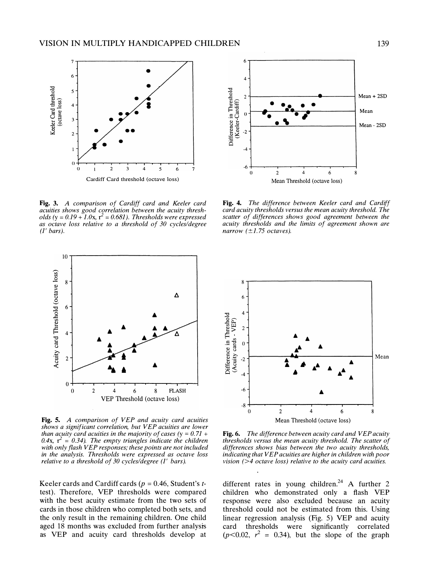

Fig. 3. A comparison of Cardiff card and Keeler card acuities shows good correlation between the acuity thresholds (y =  $0.19 + 1.0x$ , r<sup>2</sup> = 0.681). Thresholds were expressed as octave loss relative to a threshold of 30 cycles/degree  $(1')$  bars).



Fig. 5. A comparison of VEP and acuity card acuities shows a significant correlation, but VEP acuities are lower than acuity card acuities in the majority of cases (y =  $0.71 +$ 0.4x,  $r^2 = 0.34$ ). The empty triangles indicate the children with only flash VEP responses; these points are not included in the analysis. Thresholds were expressed as octave loss relative to a threshold of 30 cycles/degree (1' bars).

Keeler cards and Cardiff cards ( $p = 0.46$ , Student's ttest). Therefore, YEP thresholds were compared with the best acuity estimate from the two sets of cards in those children who completed both sets, and the only result in the remaining children. One child aged 18 months was excluded from further analysis as YEP and acuity card thresholds develop at



Fig. 4. The difference between Keeler card and Cardiff card acuity thresholds versus the mean acuity threshold. The scatter of differences shows good agreement between the acuity thresholds and the limits of agreement shown are narrow  $(\pm 1.75$  octaves).



Fig. 6. The difference between acuity card and VEP acuity thresholds versus the mean acuity threshold. The scatter of differences shows bias between the two acuity thresholds, indicating that VEP acuities are higher in children with poor vision ( $>4$  octave loss) relative to the acuity card acuities.

different rates in young children.<sup>24</sup> A further 2 children who demonstrated only a flash YEP response were also excluded because an acuity threshold could not be estimated from this. Using linear regression analysis (Fig. 5) YEP and acuity card thresholds were significantly correlated  $(p<0.02, r<sup>2</sup> = 0.34)$ , but the slope of the graph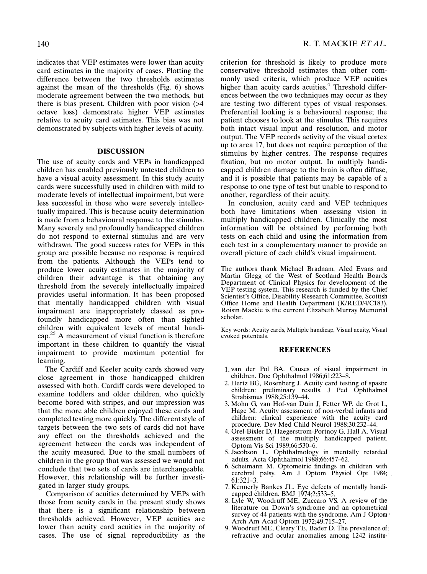indicates that YEP estimates were lower than acuity card estimates in the majority of cases. Plotting the difference between the two thresholds estimates against the mean of the thresholds (Fig. 6) shows moderate agreement between the two methods, but there is bias present. Children with poor vision  $($ octave loss) demonstrate higher YEP estimates relative to acuity card estimates. This bias was not demonstrated by subjects with higher levels of acuity.

### DISCUSSION

The use of acuity cards and VEPs in handicapped children has enabled previously untested children to have a visual acuity assessment. In this study acuity cards were successfully used in children with mild to moderate levels of intellectual impairment, but were less successful in those who were severely intellectually impaired. This is because acuity determination is made from a behavioural response to the stimulus. Many severely and profoundly handicapped children do not respond to external stimulus and are very withdrawn. The good success rates for VEPs in this group are possible because no response is required from the patients. Although the VEPs tend to produce lower acuity estimates in the majority of children their advantage is that obtaining any threshold from the severely intellectually impaired provides useful information. It has been proposed that mentally handicapped children with visual impairment are inappropriately classed as profoundly handicapped more often than sighted children with equivalent levels of mental handicap.<sup>25</sup> A measurement of visual function is therefore important in these children to quantify the visual impairment to provide maximum potential for learning.

The Cardiff and Keeler acuity cards showed very close agreement in those handicapped children assessed with both. Cardiff cards were developed to examine toddlers and older children, who quickly become bored with stripes, and our impression was that the more able children enjoyed these cards and completed testing more quickly. The different style of targets between the two sets of cards did not have any effect on the thresholds achieved and the agreement between the cards was independent of the acuity measured. Due to the small numbers of children in the group that was assessed we would not conclude that two sets of cards are interchangeable. However, this relationship will be further investigated in larger study groups.

Comparison of acuities determined by VEPs with those from acuity cards in the present study shows that there is a significant relationship between thresholds achieved. However, YEP acuities are lower than acuity card acuities in the majority of cases. The use of signal reproducibility as the criterion for threshold is likely to produce more conservative threshold estimates than other commonly used criteria, which produce YEP acuities higher than acuity cards acuities.<sup>4</sup> Threshold differences between the two techniques may occur as they are testing two different types of visual responses. Preferential looking is a behavioural response; the patient chooses to look at the stimulus. This requires both intact visual input and resolution, and motor output. The YEP records activity of the visual cortex up to area 17, but does not require perception of the stimulus by higher centres. The response requires fixation, but no motor output. In multiply handicapped children damage to the brain is often diffuse, and it is possible that patients may be capable of a response to one type of test but unable to respond to another, regardless of their acuity.

In conclusion, acuity card and YEP techniques both have limitations when assessing vision in multiply handicapped children. Clinically the most information will be obtained by performing both tests on each child and using the information from each test in a complementary manner to provide an overall picture of each child's visual impairment.

The authors thank Michael Bradnam, Aled Evans and Martin Glegg of the West of Scotland Health Boards Department of Clinical Physics for development of the VEP testing system. This research is funded by the Chief Scientist's Office, Disability Research Committee, Scottish Office Home and Health Department (K/RED/4/C183). Roisin Mackie is the current Elizabeth Murray Memorial scholar.

Key words: Acuity cards, Multiple handicap, Visual acuity, Visual evoked potentials.

#### REFERENCES

- 1. van der Pol BA. Causes of visual impairment in children. Doc Ophthalmol 1986;61:223-8.
- 2. Hertz BG, Rosenberg 1. Acuity card testing of spastic children: preliminary results. J Ped Ophthalmol Strabismus 1988;25:139-44.
- 3. Mohn G, van Hof-van Duin J, Fetter WP, de Grot L, Hage M. Acuity assessment of non-verbal infants and children: clinical experience with the acuity card procedure. Dev Med Child Neurol 1988;30:232-44.
- 4. Orel-Bixler D, Haegerstrom-Portnoy G, Hall A. Visual assessment of the multiply handicapped patient. Optom Vis Sci 1989;66:530-6.
- 5. Jacobson L. Ophthalmology in mentally retarded adults. Acta Ophthalmol 1988;66:457-62.
- 6. Scheimann M. Optometric findings in children with cerebral palsy. Am J Optom Physiol Opt 1984; 61:321-3.
- 7. Kennerly Bankes JL. Eye defects of mentally handicapped children. BMJ 1974;2:533–5.
- 8. Lyle W, Woodruff ME, Zuccaro VS. A review of the literature on Down's syndrome and an optometrical survey of 44 patients with the syndrome. Am J Optom Arch Am Acad Optom 1972;49:715-27.
- 9. Woodruff ME, Cleary TE, Bader D. The prevalence of refractive and ocular anomalies among 1242 institu-